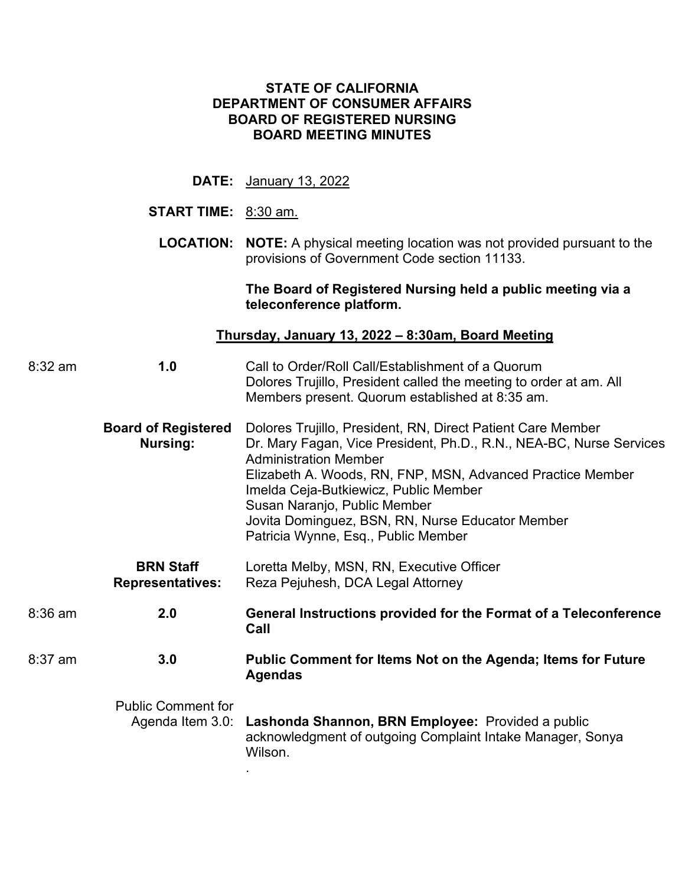## **STATE OF CALIFORNIA DEPARTMENT OF CONSUMER AFFAIRS BOARD OF REGISTERED NURSING BOARD MEETING MINUTES**

|         | <b>DATE:</b>                                              | January 13, 2022                                                                                                                                                                                                                                                                                                                                                                                     |  |  |  |  |  |  |  |
|---------|-----------------------------------------------------------|------------------------------------------------------------------------------------------------------------------------------------------------------------------------------------------------------------------------------------------------------------------------------------------------------------------------------------------------------------------------------------------------------|--|--|--|--|--|--|--|
|         | <b>START TIME:</b> 8:30 am.                               |                                                                                                                                                                                                                                                                                                                                                                                                      |  |  |  |  |  |  |  |
|         |                                                           | <b>LOCATION:</b> NOTE: A physical meeting location was not provided pursuant to the<br>provisions of Government Code section 11133.                                                                                                                                                                                                                                                                  |  |  |  |  |  |  |  |
|         |                                                           | The Board of Registered Nursing held a public meeting via a<br>teleconference platform.                                                                                                                                                                                                                                                                                                              |  |  |  |  |  |  |  |
|         | <u>Thursday, January 13, 2022 – 8:30am, Board Meeting</u> |                                                                                                                                                                                                                                                                                                                                                                                                      |  |  |  |  |  |  |  |
| 8:32 am | 1.0                                                       | Call to Order/Roll Call/Establishment of a Quorum<br>Dolores Trujillo, President called the meeting to order at am. All<br>Members present. Quorum established at 8:35 am.                                                                                                                                                                                                                           |  |  |  |  |  |  |  |
|         | <b>Board of Registered</b><br><b>Nursing:</b>             | Dolores Trujillo, President, RN, Direct Patient Care Member<br>Dr. Mary Fagan, Vice President, Ph.D., R.N., NEA-BC, Nurse Services<br><b>Administration Member</b><br>Elizabeth A. Woods, RN, FNP, MSN, Advanced Practice Member<br>Imelda Ceja-Butkiewicz, Public Member<br>Susan Naranjo, Public Member<br>Jovita Dominguez, BSN, RN, Nurse Educator Member<br>Patricia Wynne, Esq., Public Member |  |  |  |  |  |  |  |
|         | <b>BRN Staff</b><br><b>Representatives:</b>               | Loretta Melby, MSN, RN, Executive Officer<br>Reza Pejuhesh, DCA Legal Attorney                                                                                                                                                                                                                                                                                                                       |  |  |  |  |  |  |  |
| 8:36 am | 2.0                                                       | General Instructions provided for the Format of a Teleconference<br>Call                                                                                                                                                                                                                                                                                                                             |  |  |  |  |  |  |  |
| 8:37 am | 3.0                                                       | <b>Public Comment for Items Not on the Agenda; Items for Future</b><br><b>Agendas</b>                                                                                                                                                                                                                                                                                                                |  |  |  |  |  |  |  |
|         | <b>Public Comment for</b><br>Agenda Item 3.0:             | Lashonda Shannon, BRN Employee: Provided a public<br>acknowledgment of outgoing Complaint Intake Manager, Sonya<br>Wilson.                                                                                                                                                                                                                                                                           |  |  |  |  |  |  |  |

.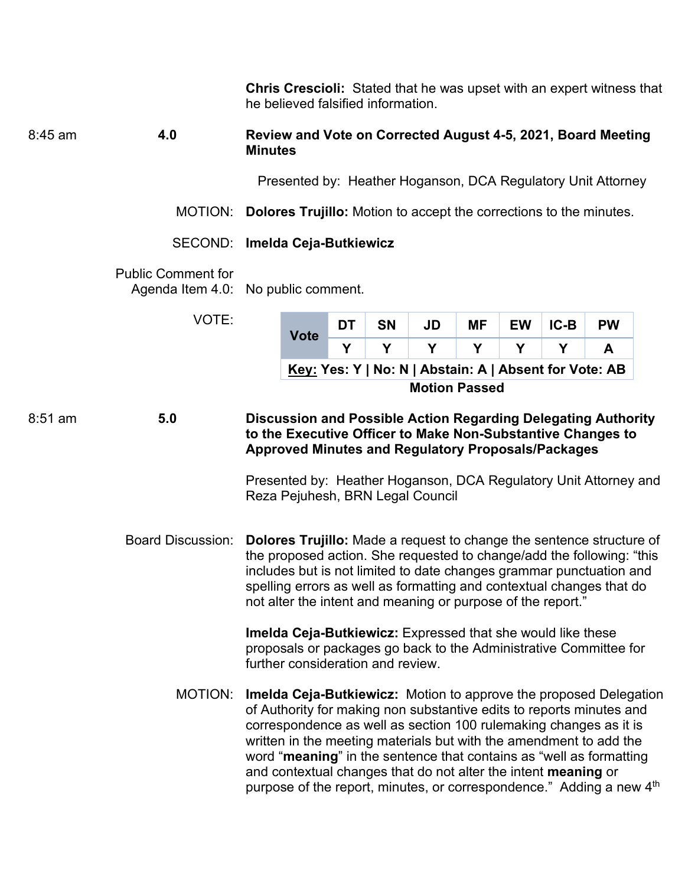**Chris Crescioli:** Stated that he was upset with an expert witness that Presented by: Heather Hoganson, DCA Regulatory Unit Attorney DT Presented by: Heather Hoganson, DCA Regulatory Unit Attorney and spelling errors as well as formatting and contextual changes that do of Authority for making non substantive edits to reports minutes and purpose of the report, minutes, or correspondence." Adding a new 4<sup>th</sup> 8:45 am **4.0**  MOTION: **Dolores Trujillo:** Motion to accept the corrections to the minutes. SECOND: **Imelda Ceja-Butkiewicz**  Public Comment for Agenda Item 4.0: No public comment. VOTE: 8:51 am **5.0**  Board Discussion: MOTION: he believed falsified information. **Review and Vote on Corrected August 4-5, 2021, Board Meeting Minutes Vote DT SN JD MF EW IC-B PW Y Y Y Y Y Y A Key: Yes: Y | No: N | Abstain: A | Absent for Vote: AB Motion Passed Discussion and Possible Action Regarding Delegating Authority to the Executive Officer to Make Non-Substantive Changes to Approved Minutes and Regulatory Proposals/Packages**  Reza Pejuhesh, BRN Legal Council **Dolores Trujillo:** Made a request to change the sentence structure of the proposed action. She requested to change/add the following: "this includes but is not limited to date changes grammar punctuation and not alter the intent and meaning or purpose of the report." **Imelda Ceja-Butkiewicz:** Expressed that she would like these proposals or packages go back to the Administrative Committee for further consideration and review. **Imelda Ceja-Butkiewicz:** Motion to approve the proposed Delegation correspondence as well as section 100 rulemaking changes as it is written in the meeting materials but with the amendment to add the word "**meaning**" in the sentence that contains as "well as formatting and contextual changes that do not alter the intent **meaning** or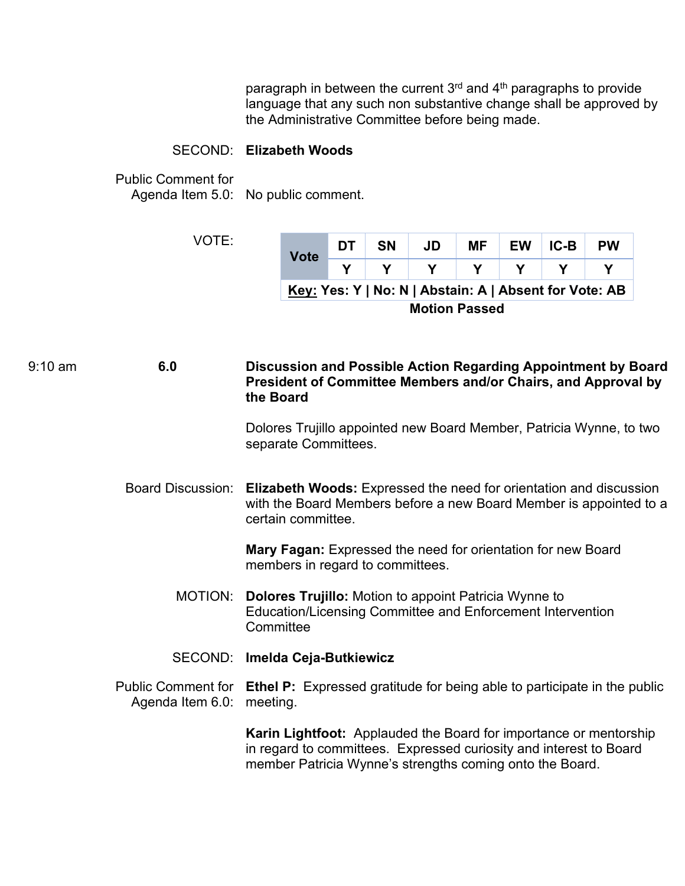language that any such non substantive change shall be approved by paragraph in between the current  $3<sup>rd</sup>$  and  $4<sup>th</sup>$  paragraphs to provide the Administrative Committee before being made.

## SECOND: **Elizabeth Woods**

Public Comment for

Agenda Item 5.0: No public comment.

VOTE:

| <b>Vote</b>                                            | DТ | <b>SN</b> | JD | <b>MF</b> |  | EW IC-B | <b>PW</b> |  |
|--------------------------------------------------------|----|-----------|----|-----------|--|---------|-----------|--|
|                                                        |    |           |    |           |  |         |           |  |
| Key: Yes: Y   No: N   Abstain: A   Absent for Vote: AB |    |           |    |           |  |         |           |  |

**Motion Passed** 

9:10 am **6.0 Discussion and Possible Action Regarding Appointment by Board President of Committee Members and/or Chairs, and Approval by the Board** 

> Dolores Trujillo appointed new Board Member, Patricia Wynne, to two separate Committees.

Board Discussion: **Elizabeth Woods:** Expressed the need for orientation and discussion with the Board Members before a new Board Member is appointed to a certain committee.

> **Mary Fagan:** Expressed the need for orientation for new Board members in regard to committees.

- MOTION: **Dolores Trujillo:** Motion to appoint Patricia Wynne to Education/Licensing Committee and Enforcement Intervention **Committee**
- SECOND: **Imelda Ceja-Butkiewicz**
- Public Comment for **Ethel P:** Expressed gratitude for being able to participate in the public Agenda Item 6.0: meeting.

**Karin Lightfoot:** Applauded the Board for importance or mentorship in regard to committees. Expressed curiosity and interest to Board member Patricia Wynne's strengths coming onto the Board.